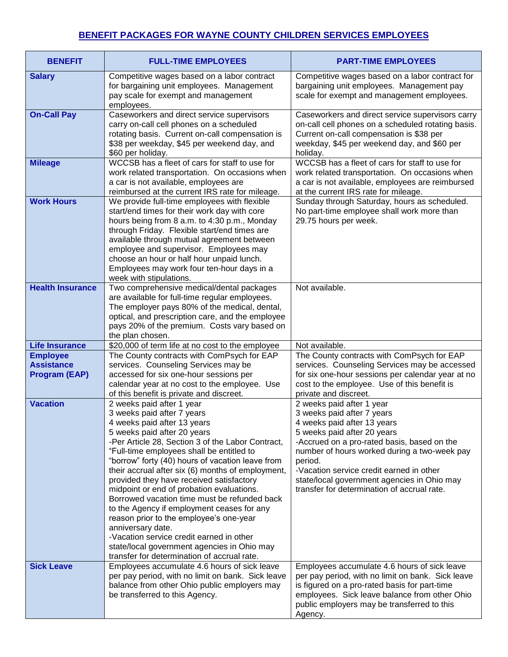## **BENEFIT PACKAGES FOR WAYNE COUNTY CHILDREN SERVICES EMPLOYEES**

| <b>BENEFIT</b>                                               | <b>FULL-TIME EMPLOYEES</b>                                                                                                                                                                                                                                                                                                                                                                                                                                                                                                                                                                                                                                                                                                        | <b>PART-TIME EMPLOYEES</b>                                                                                                                                                                                                                                                                                                                                                |
|--------------------------------------------------------------|-----------------------------------------------------------------------------------------------------------------------------------------------------------------------------------------------------------------------------------------------------------------------------------------------------------------------------------------------------------------------------------------------------------------------------------------------------------------------------------------------------------------------------------------------------------------------------------------------------------------------------------------------------------------------------------------------------------------------------------|---------------------------------------------------------------------------------------------------------------------------------------------------------------------------------------------------------------------------------------------------------------------------------------------------------------------------------------------------------------------------|
| <b>Salary</b>                                                | Competitive wages based on a labor contract<br>for bargaining unit employees. Management<br>pay scale for exempt and management<br>employees.                                                                                                                                                                                                                                                                                                                                                                                                                                                                                                                                                                                     | Competitive wages based on a labor contract for<br>bargaining unit employees. Management pay<br>scale for exempt and management employees.                                                                                                                                                                                                                                |
| <b>On-Call Pay</b>                                           | Caseworkers and direct service supervisors<br>carry on-call cell phones on a scheduled<br>rotating basis. Current on-call compensation is<br>\$38 per weekday, \$45 per weekend day, and<br>\$60 per holiday.                                                                                                                                                                                                                                                                                                                                                                                                                                                                                                                     | Caseworkers and direct service supervisors carry<br>on-call cell phones on a scheduled rotating basis.<br>Current on-call compensation is \$38 per<br>weekday, \$45 per weekend day, and \$60 per<br>holiday.                                                                                                                                                             |
| <b>Mileage</b>                                               | WCCSB has a fleet of cars for staff to use for<br>work related transportation. On occasions when<br>a car is not available, employees are<br>reimbursed at the current IRS rate for mileage.                                                                                                                                                                                                                                                                                                                                                                                                                                                                                                                                      | WCCSB has a fleet of cars for staff to use for<br>work related transportation. On occasions when<br>a car is not available, employees are reimbursed<br>at the current IRS rate for mileage.                                                                                                                                                                              |
| <b>Work Hours</b>                                            | We provide full-time employees with flexible<br>start/end times for their work day with core<br>hours being from 8 a.m. to 4:30 p.m., Monday<br>through Friday. Flexible start/end times are<br>available through mutual agreement between<br>employee and supervisor. Employees may<br>choose an hour or half hour unpaid lunch.<br>Employees may work four ten-hour days in a<br>week with stipulations.                                                                                                                                                                                                                                                                                                                        | Sunday through Saturday, hours as scheduled.<br>No part-time employee shall work more than<br>29.75 hours per week.                                                                                                                                                                                                                                                       |
| <b>Health Insurance</b>                                      | Two comprehensive medical/dental packages<br>are available for full-time regular employees.<br>The employer pays 80% of the medical, dental,<br>optical, and prescription care, and the employee<br>pays 20% of the premium. Costs vary based on<br>the plan chosen.                                                                                                                                                                                                                                                                                                                                                                                                                                                              | Not available.                                                                                                                                                                                                                                                                                                                                                            |
| <b>Life Insurance</b>                                        | \$20,000 of term life at no cost to the employee                                                                                                                                                                                                                                                                                                                                                                                                                                                                                                                                                                                                                                                                                  | Not available.                                                                                                                                                                                                                                                                                                                                                            |
| <b>Employee</b><br><b>Assistance</b><br><b>Program (EAP)</b> | The County contracts with ComPsych for EAP<br>services. Counseling Services may be<br>accessed for six one-hour sessions per                                                                                                                                                                                                                                                                                                                                                                                                                                                                                                                                                                                                      | The County contracts with ComPsych for EAP<br>services. Counseling Services may be accessed<br>for six one-hour sessions per calendar year at no                                                                                                                                                                                                                          |
|                                                              | calendar year at no cost to the employee. Use<br>of this benefit is private and discreet.                                                                                                                                                                                                                                                                                                                                                                                                                                                                                                                                                                                                                                         | cost to the employee. Use of this benefit is<br>private and discreet.                                                                                                                                                                                                                                                                                                     |
| <b>Vacation</b>                                              | 2 weeks paid after 1 year<br>3 weeks paid after 7 years<br>4 weeks paid after 13 years<br>5 weeks paid after 20 years<br>-Per Article 28, Section 3 of the Labor Contract,<br>"Full-time employees shall be entitled to<br>"borrow" forty (40) hours of vacation leave from<br>their accrual after six (6) months of employment,<br>provided they have received satisfactory<br>midpoint or end of probation evaluations.<br>Borrowed vacation time must be refunded back<br>to the Agency if employment ceases for any<br>reason prior to the employee's one-year<br>anniversary date.<br>-Vacation service credit earned in other<br>state/local government agencies in Ohio may<br>transfer for determination of accrual rate. | 2 weeks paid after 1 year<br>3 weeks paid after 7 years<br>4 weeks paid after 13 years<br>5 weeks paid after 20 years<br>-Accrued on a pro-rated basis, based on the<br>number of hours worked during a two-week pay<br>period.<br>-Vacation service credit earned in other<br>state/local government agencies in Ohio may<br>transfer for determination of accrual rate. |
| <b>Sick Leave</b>                                            | Employees accumulate 4.6 hours of sick leave<br>per pay period, with no limit on bank. Sick leave<br>balance from other Ohio public employers may<br>be transferred to this Agency.                                                                                                                                                                                                                                                                                                                                                                                                                                                                                                                                               | Employees accumulate 4.6 hours of sick leave<br>per pay period, with no limit on bank. Sick leave<br>is figured on a pro-rated basis for part-time<br>employees. Sick leave balance from other Ohio<br>public employers may be transferred to this<br>Agency.                                                                                                             |